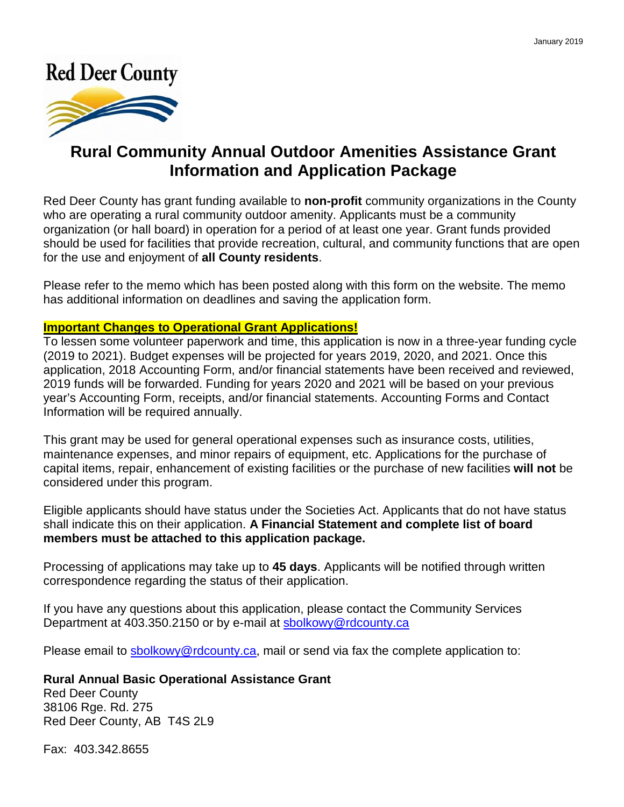# **Red Deer County**



## **Rural Community Annual Outdoor Amenities Assistance Grant Information and Application Package**

Red Deer County has grant funding available to **non-profit** community organizations in the County who are operating a rural community outdoor amenity. Applicants must be a community organization (or hall board) in operation for a period of at least one year. Grant funds provided should be used for facilities that provide recreation, cultural, and community functions that are open for the use and enjoyment of **all County residents**.

Please refer to the memo which has been posted along with this form on the website. The memo has additional information on deadlines and saving the application form.

### **Important Changes to Operational Grant Applications!**

To lessen some volunteer paperwork and time, this application is now in a three-year funding cycle (2022 to 2024). Budget expenses will be projected for years 2022, 2023, and 2024. Once this application, 2021 Accounting Form, and/or financial statements have been received and reviewed, 2022 funds will be forwarded. Funding for years 2023 and 2024 will be based on your previous year's Accounting Form, receipts, and/or financial statements. Accounting Forms and Contact Information will be required annually.

This grant may be used for general operational expenses such as insurance costs, utilities, maintenance expenses, and minor repairs of equipment, etc. Applications for the purchase of capital items, repair, enhancement of existing facilities or the purchase of new facilities **will not** be considered under this program.

Eligible applicants should have status under the Societies Act. Applicants that do not have status shall indicate this on their application. **A Financial Statement and complete list of board members must be attached to this application package.**

Processing of applications may take up to **45 days**. Applicants will be notified through written correspondence regarding the status of their application.

If you have any questions about this application, please contact Community Services Department at 403.350.2150 or by e-mail.

Please email to sbolkowy@rdcounty.ca, mail or send via fax the complete application to:

### **Rural Annual Basic Operational Assistance Grant**

Red Deer County 38106 Rge. Rd. 275 Red Deer County, AB T4S 2L9

Fax: 403.342.8655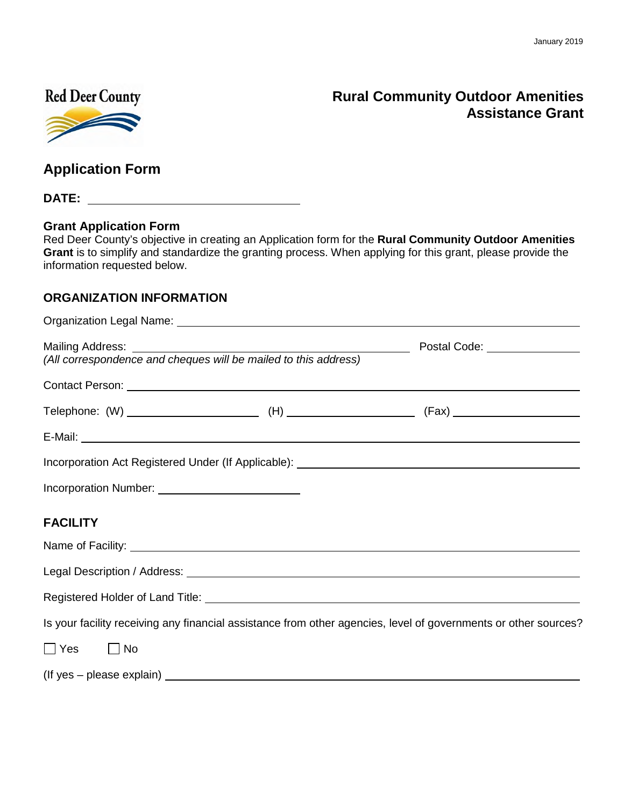### **Red Deer County**



### **Rural Community Outdoor Amenities Assistance Grant**

**Application Form** 

**DATE:**

#### **Grant Application Form**

Red Deer County's objective in creating an Application form for the **Rural Community Outdoor Amenities Grant** is to simplify and standardize the granting process. When applying for this grant, please provide the information requested below.

#### **ORGANIZATION INFORMATION**

|                 | Postal Code: ________________                                                                                                                                                                                                        |                                                                                                                 |
|-----------------|--------------------------------------------------------------------------------------------------------------------------------------------------------------------------------------------------------------------------------------|-----------------------------------------------------------------------------------------------------------------|
|                 |                                                                                                                                                                                                                                      |                                                                                                                 |
|                 |                                                                                                                                                                                                                                      |                                                                                                                 |
|                 |                                                                                                                                                                                                                                      |                                                                                                                 |
|                 |                                                                                                                                                                                                                                      | Incorporation Act Registered Under (If Applicable): Manual Action Act Registered Under (If Applicable):         |
|                 |                                                                                                                                                                                                                                      |                                                                                                                 |
| <b>FACILITY</b> |                                                                                                                                                                                                                                      |                                                                                                                 |
|                 | Name of Facility: <u>example and the set of the set of the set of the set of the set of the set of the set of the set of the set of the set of the set of the set of the set of the set of the set of the set of the set of the </u> |                                                                                                                 |
|                 |                                                                                                                                                                                                                                      |                                                                                                                 |
|                 |                                                                                                                                                                                                                                      |                                                                                                                 |
|                 |                                                                                                                                                                                                                                      | Is your facility receiving any financial assistance from other agencies, level of governments or other sources? |
| ∣∣Yes<br>∣ ∣No  |                                                                                                                                                                                                                                      |                                                                                                                 |

(If yes – please explain)